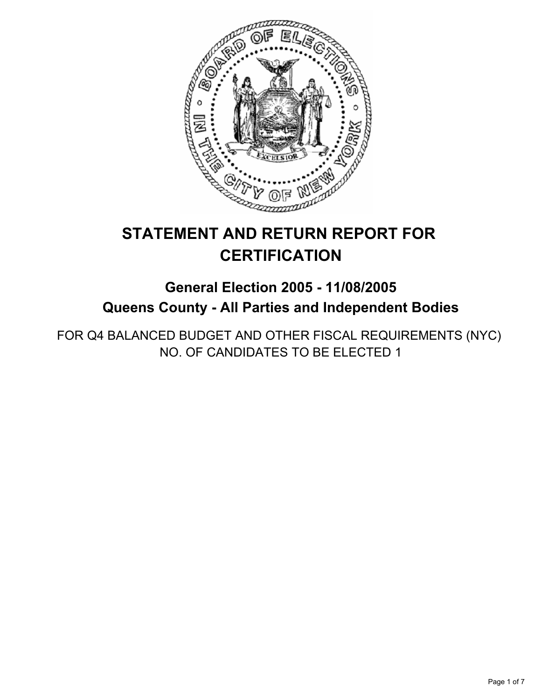

# **STATEMENT AND RETURN REPORT FOR CERTIFICATION**

## **General Election 2005 - 11/08/2005 Queens County - All Parties and Independent Bodies**

FOR Q4 BALANCED BUDGET AND OTHER FISCAL REQUIREMENTS (NYC) NO. OF CANDIDATES TO BE ELECTED 1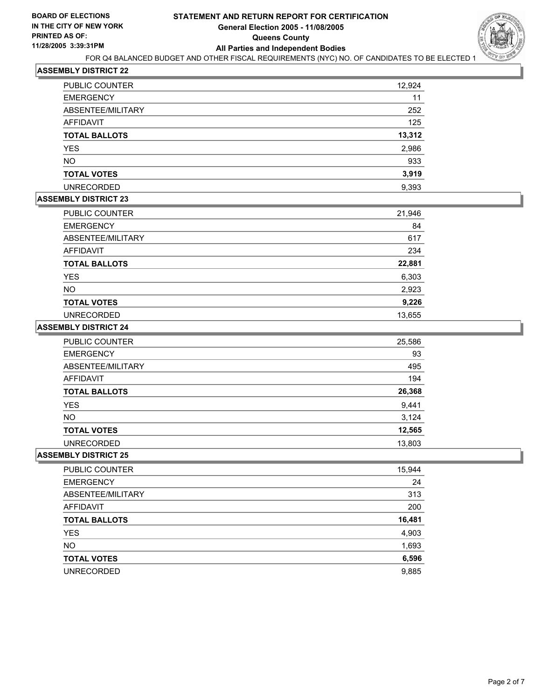

| PUBLIC COUNTER       | 12,924 |
|----------------------|--------|
| <b>EMERGENCY</b>     | 11     |
| ABSENTEE/MILITARY    | 252    |
| AFFIDAVIT            | 125    |
| <b>TOTAL BALLOTS</b> | 13,312 |
| YES                  | 2,986  |
| <b>NO</b>            | 933    |
| <b>TOTAL VOTES</b>   | 3,919  |
| <b>UNRECORDED</b>    | 9,393  |

## **ASSEMBLY DISTRICT 23**

| PUBLIC COUNTER       | 21,946 |
|----------------------|--------|
| <b>EMERGENCY</b>     | 84     |
| ABSENTEE/MILITARY    | 617    |
| <b>AFFIDAVIT</b>     | 234    |
| <b>TOTAL BALLOTS</b> | 22,881 |
| <b>YES</b>           | 6,303  |
| <b>NO</b>            | 2,923  |
| <b>TOTAL VOTES</b>   | 9,226  |
| <b>UNRECORDED</b>    | 13,655 |

#### **ASSEMBLY DISTRICT 24**

| <b>PUBLIC COUNTER</b> | 25,586 |
|-----------------------|--------|
| <b>EMERGENCY</b>      | 93     |
| ABSENTEE/MILITARY     | 495    |
| AFFIDAVIT             | 194    |
| <b>TOTAL BALLOTS</b>  | 26,368 |
| <b>YES</b>            | 9,441  |
| <b>NO</b>             | 3,124  |
| <b>TOTAL VOTES</b>    | 12,565 |
| <b>UNRECORDED</b>     | 13,803 |

| PUBLIC COUNTER       | 15,944 |
|----------------------|--------|
| <b>EMERGENCY</b>     | 24     |
| ABSENTEE/MILITARY    | 313    |
| AFFIDAVIT            | 200    |
| <b>TOTAL BALLOTS</b> | 16,481 |
| YES                  | 4,903  |
| <b>NO</b>            | 1,693  |
| <b>TOTAL VOTES</b>   | 6,596  |
| <b>UNRECORDED</b>    | 9,885  |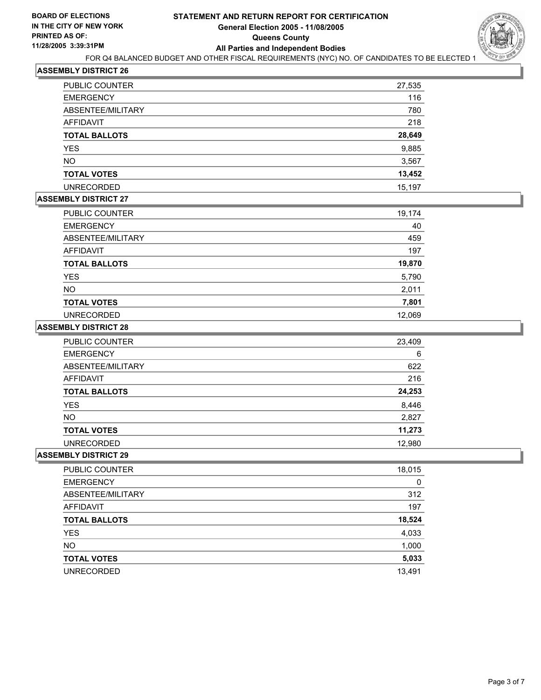

| <b>PUBLIC COUNTER</b> | 27,535 |
|-----------------------|--------|
| <b>EMERGENCY</b>      | 116    |
| ABSENTEE/MILITARY     | 780    |
| AFFIDAVIT             | 218    |
| <b>TOTAL BALLOTS</b>  | 28,649 |
| <b>YES</b>            | 9,885  |
| <b>NO</b>             | 3,567  |
| <b>TOTAL VOTES</b>    | 13,452 |
| <b>UNRECORDED</b>     | 15,197 |

## **ASSEMBLY DISTRICT 27**

| PUBLIC COUNTER       | 19,174 |
|----------------------|--------|
| <b>EMERGENCY</b>     | 40     |
| ABSENTEE/MILITARY    | 459    |
| AFFIDAVIT            | 197    |
| <b>TOTAL BALLOTS</b> | 19,870 |
| <b>YES</b>           | 5,790  |
| <b>NO</b>            | 2,011  |
| <b>TOTAL VOTES</b>   | 7,801  |
| <b>UNRECORDED</b>    | 12,069 |

#### **ASSEMBLY DISTRICT 28**

| <b>PUBLIC COUNTER</b> | 23,409 |
|-----------------------|--------|
| <b>EMERGENCY</b>      | 6      |
| ABSENTEE/MILITARY     | 622    |
| AFFIDAVIT             | 216    |
| <b>TOTAL BALLOTS</b>  | 24,253 |
| <b>YES</b>            | 8,446  |
| <b>NO</b>             | 2,827  |
| <b>TOTAL VOTES</b>    | 11,273 |
| <b>UNRECORDED</b>     | 12,980 |

| PUBLIC COUNTER       | 18,015 |
|----------------------|--------|
| <b>EMERGENCY</b>     | 0      |
| ABSENTEE/MILITARY    | 312    |
| AFFIDAVIT            | 197    |
| <b>TOTAL BALLOTS</b> | 18,524 |
| <b>YES</b>           | 4,033  |
| <b>NO</b>            | 1,000  |
| <b>TOTAL VOTES</b>   | 5,033  |
| <b>UNRECORDED</b>    | 13,491 |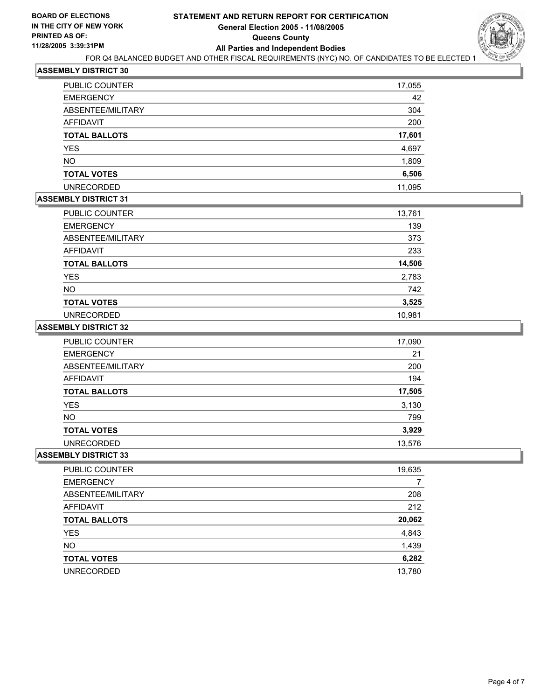

| PUBLIC COUNTER       | 17,055 |
|----------------------|--------|
| <b>EMERGENCY</b>     | 42     |
| ABSENTEE/MILITARY    | 304    |
| AFFIDAVIT            | 200    |
| <b>TOTAL BALLOTS</b> | 17,601 |
| <b>YES</b>           | 4,697  |
| <b>NO</b>            | 1,809  |
| <b>TOTAL VOTES</b>   | 6,506  |
| <b>UNRECORDED</b>    | 11,095 |

## **ASSEMBLY DISTRICT 31**

| PUBLIC COUNTER       | 13,761 |
|----------------------|--------|
| <b>EMERGENCY</b>     | 139    |
| ABSENTEE/MILITARY    | 373    |
| <b>AFFIDAVIT</b>     | 233    |
| <b>TOTAL BALLOTS</b> | 14,506 |
| <b>YES</b>           | 2,783  |
| <b>NO</b>            | 742    |
| <b>TOTAL VOTES</b>   | 3,525  |
| <b>UNRECORDED</b>    | 10,981 |

#### **ASSEMBLY DISTRICT 32**

| PUBLIC COUNTER       | 17,090 |
|----------------------|--------|
| <b>EMERGENCY</b>     | 21     |
| ABSENTEE/MILITARY    | 200    |
| AFFIDAVIT            | 194    |
| <b>TOTAL BALLOTS</b> | 17,505 |
| <b>YES</b>           | 3,130  |
| <b>NO</b>            | 799    |
| <b>TOTAL VOTES</b>   | 3,929  |
| <b>UNRECORDED</b>    | 13,576 |

| PUBLIC COUNTER       | 19,635 |
|----------------------|--------|
| <b>EMERGENCY</b>     |        |
| ABSENTEE/MILITARY    | 208    |
| AFFIDAVIT            | 212    |
| <b>TOTAL BALLOTS</b> | 20,062 |
| <b>YES</b>           | 4,843  |
| <b>NO</b>            | 1,439  |
| <b>TOTAL VOTES</b>   | 6,282  |
| <b>UNRECORDED</b>    | 13,780 |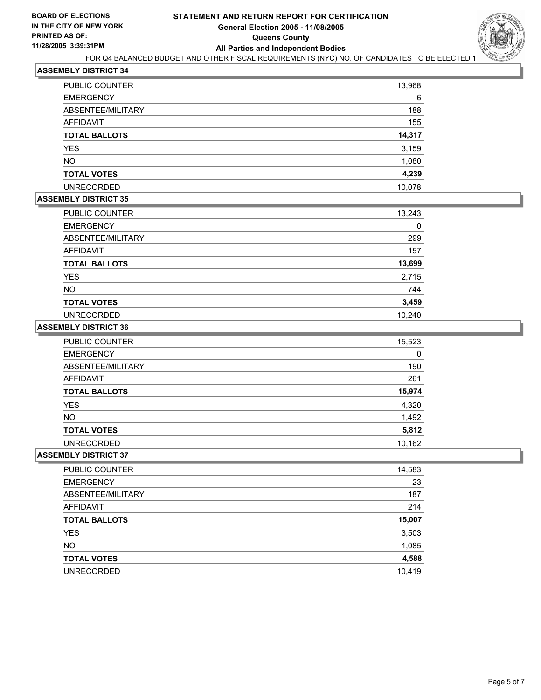

| PUBLIC COUNTER       | 13,968 |
|----------------------|--------|
| <b>EMERGENCY</b>     | 6      |
| ABSENTEE/MILITARY    | 188    |
| AFFIDAVIT            | 155    |
| <b>TOTAL BALLOTS</b> | 14,317 |
| <b>YES</b>           | 3,159  |
| <b>NO</b>            | 1,080  |
| <b>TOTAL VOTES</b>   | 4,239  |
| <b>UNRECORDED</b>    | 10,078 |

## **ASSEMBLY DISTRICT 35**

| PUBLIC COUNTER       | 13,243 |
|----------------------|--------|
| <b>EMERGENCY</b>     |        |
| ABSENTEE/MILITARY    | 299    |
| <b>AFFIDAVIT</b>     | 157    |
| <b>TOTAL BALLOTS</b> | 13,699 |
| <b>YES</b>           | 2,715  |
| NO.                  | 744    |
| <b>TOTAL VOTES</b>   | 3,459  |
| <b>UNRECORDED</b>    | 10,240 |

#### **ASSEMBLY DISTRICT 36**

| <b>PUBLIC COUNTER</b> | 15,523 |
|-----------------------|--------|
| <b>EMERGENCY</b>      | 0      |
| ABSENTEE/MILITARY     | 190    |
| AFFIDAVIT             | 261    |
| <b>TOTAL BALLOTS</b>  | 15,974 |
| <b>YES</b>            | 4,320  |
| <b>NO</b>             | 1,492  |
| <b>TOTAL VOTES</b>    | 5,812  |
| <b>UNRECORDED</b>     | 10,162 |

| PUBLIC COUNTER       | 14,583 |
|----------------------|--------|
| <b>EMERGENCY</b>     | 23     |
| ABSENTEE/MILITARY    | 187    |
| AFFIDAVIT            | 214    |
| <b>TOTAL BALLOTS</b> | 15,007 |
| <b>YES</b>           | 3,503  |
| <b>NO</b>            | 1,085  |
| <b>TOTAL VOTES</b>   | 4,588  |
| <b>UNRECORDED</b>    | 10,419 |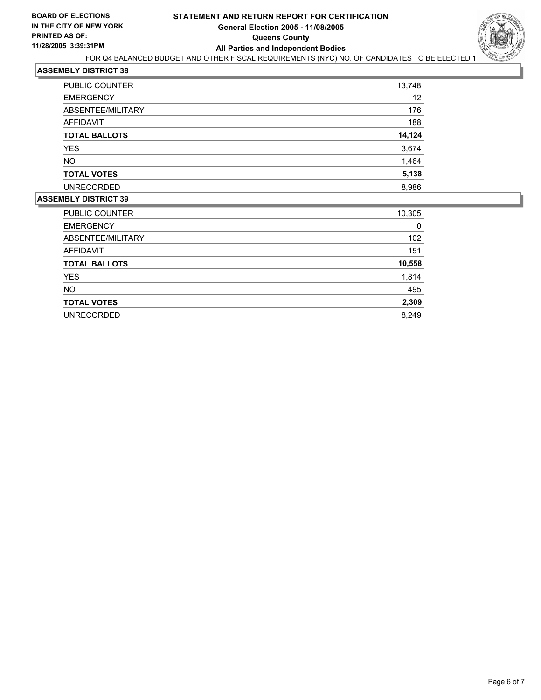## **STATEMENT AND RETURN REPORT FOR CERTIFICATION General Election 2005 - 11/08/2005 Queens County All Parties and Independent Bodies**



FOR Q4 BALANCED BUDGET AND OTHER FISCAL REQUIREMENTS (NYC) NO. OF CANDIDATES TO BE ELECTED 1

#### **ASSEMBLY DISTRICT 38**

| <b>PUBLIC COUNTER</b> | 13,748 |
|-----------------------|--------|
| <b>EMERGENCY</b>      | 12     |
| ABSENTEE/MILITARY     | 176    |
| AFFIDAVIT             | 188    |
| <b>TOTAL BALLOTS</b>  | 14,124 |
| <b>YES</b>            | 3,674  |
| <b>NO</b>             | 1,464  |
| <b>TOTAL VOTES</b>    | 5,138  |
| <b>UNRECORDED</b>     | 8,986  |
|                       |        |

| PUBLIC COUNTER       | 10,305 |
|----------------------|--------|
| <b>EMERGENCY</b>     | 0      |
| ABSENTEE/MILITARY    | 102    |
| AFFIDAVIT            | 151    |
| <b>TOTAL BALLOTS</b> | 10,558 |
| <b>YES</b>           | 1,814  |
| <b>NO</b>            | 495    |
| <b>TOTAL VOTES</b>   | 2,309  |
| <b>UNRECORDED</b>    | 8,249  |